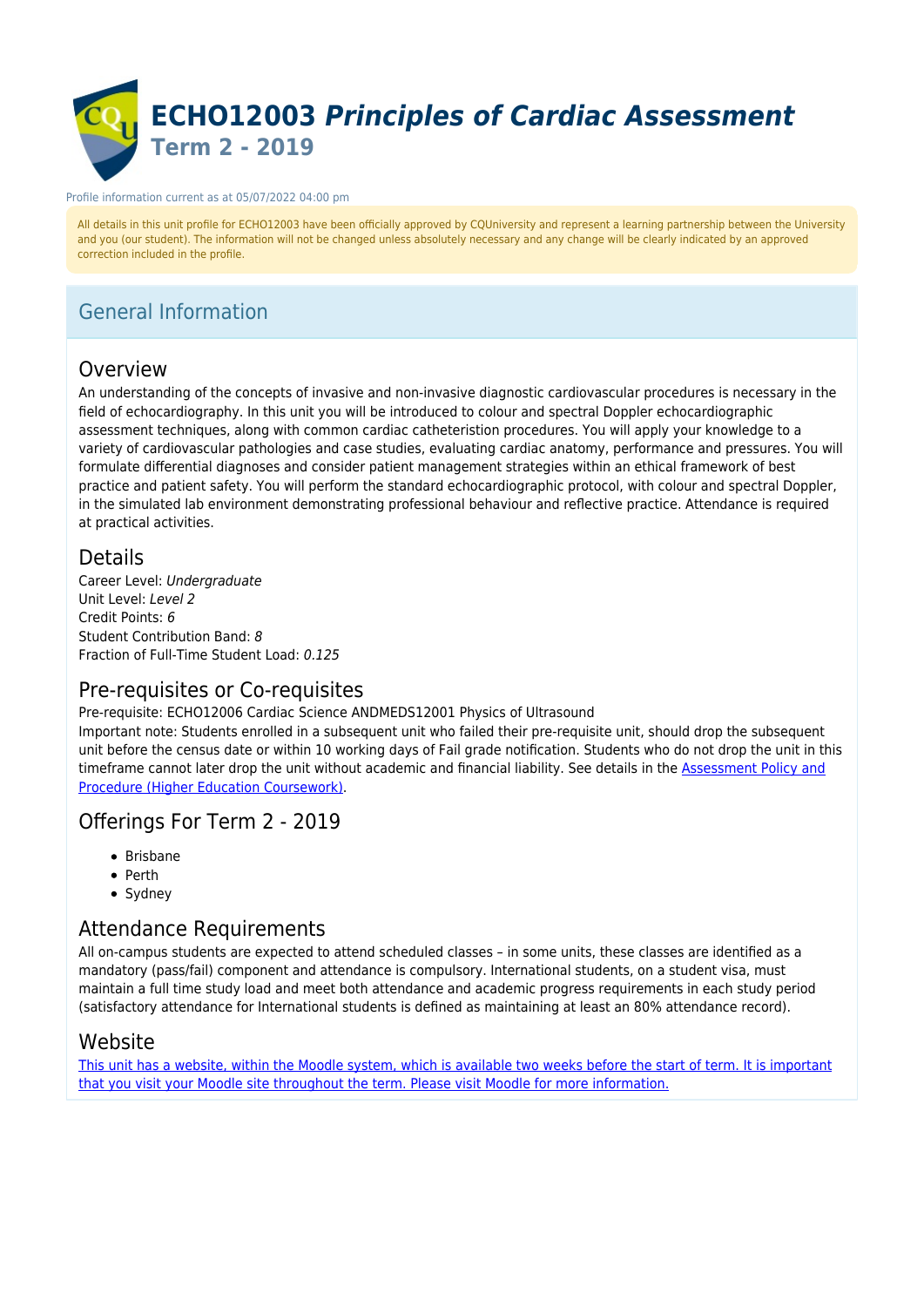

#### Profile information current as at 05/07/2022 04:00 pm

All details in this unit profile for ECHO12003 have been officially approved by CQUniversity and represent a learning partnership between the University and you (our student). The information will not be changed unless absolutely necessary and any change will be clearly indicated by an approved correction included in the profile.

# General Information

# Overview

An understanding of the concepts of invasive and non-invasive diagnostic cardiovascular procedures is necessary in the field of echocardiography. In this unit you will be introduced to colour and spectral Doppler echocardiographic assessment techniques, along with common cardiac catheteristion procedures. You will apply your knowledge to a variety of cardiovascular pathologies and case studies, evaluating cardiac anatomy, performance and pressures. You will formulate differential diagnoses and consider patient management strategies within an ethical framework of best practice and patient safety. You will perform the standard echocardiographic protocol, with colour and spectral Doppler, in the simulated lab environment demonstrating professional behaviour and reflective practice. Attendance is required at practical activities.

# Details

Career Level: Undergraduate Unit Level: Level 2 Credit Points: 6 Student Contribution Band: 8 Fraction of Full-Time Student Load: 0.125

# Pre-requisites or Co-requisites

Pre-requisite: ECHO12006 Cardiac Science ANDMEDS12001 Physics of Ultrasound

Important note: Students enrolled in a subsequent unit who failed their pre-requisite unit, should drop the subsequent unit before the census date or within 10 working days of Fail grade notification. Students who do not drop the unit in this timeframe cannot later drop the unit without academic and financial liability. See details in the [Assessment Policy and](https://www.cqu.edu.au/policy) [Procedure \(Higher Education Coursework\)](https://www.cqu.edu.au/policy).

# Offerings For Term 2 - 2019

- Brisbane
- Perth
- Sydney

### Attendance Requirements

All on-campus students are expected to attend scheduled classes – in some units, these classes are identified as a mandatory (pass/fail) component and attendance is compulsory. International students, on a student visa, must maintain a full time study load and meet both attendance and academic progress requirements in each study period (satisfactory attendance for International students is defined as maintaining at least an 80% attendance record).

# Website

[This unit has a website, within the Moodle system, which is available two weeks before the start of term. It is important](https://moodle.cqu.edu.au) [that you visit your Moodle site throughout the term. Please visit Moodle for more information.](https://moodle.cqu.edu.au)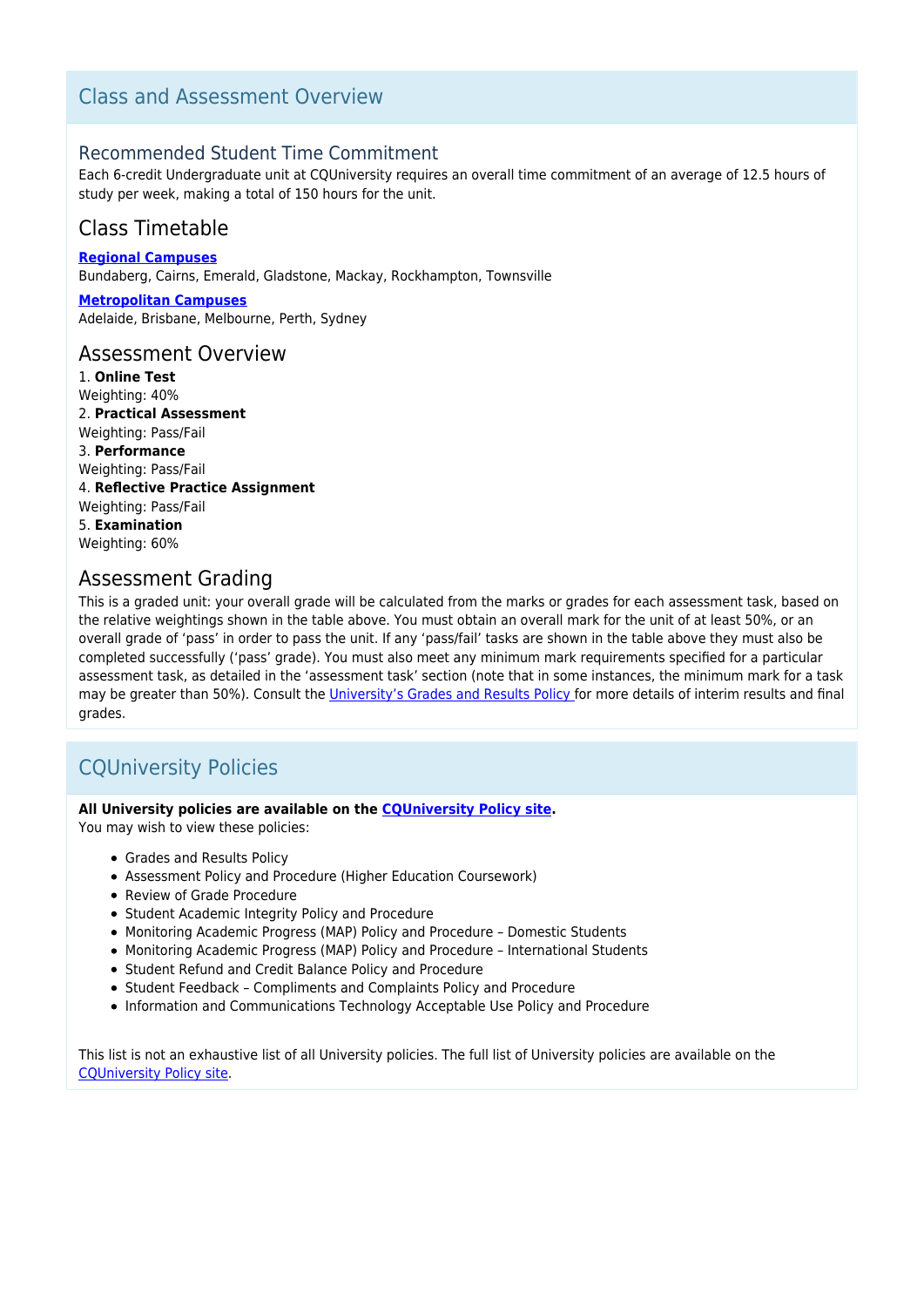# Class and Assessment Overview

### Recommended Student Time Commitment

Each 6-credit Undergraduate unit at CQUniversity requires an overall time commitment of an average of 12.5 hours of study per week, making a total of 150 hours for the unit.

# Class Timetable

**[Regional Campuses](https://handbook.cqu.edu.au/facet/timetables)** Bundaberg, Cairns, Emerald, Gladstone, Mackay, Rockhampton, Townsville

**[Metropolitan Campuses](https://handbook.cqu.edu.au/facet/timetables)** Adelaide, Brisbane, Melbourne, Perth, Sydney

#### Assessment Overview

1. **Online Test** Weighting: 40% 2. **Practical Assessment** Weighting: Pass/Fail 3. **Performance** Weighting: Pass/Fail 4. **Reflective Practice Assignment** Weighting: Pass/Fail 5. **Examination** Weighting: 60%

# Assessment Grading

This is a graded unit: your overall grade will be calculated from the marks or grades for each assessment task, based on the relative weightings shown in the table above. You must obtain an overall mark for the unit of at least 50%, or an overall grade of 'pass' in order to pass the unit. If any 'pass/fail' tasks are shown in the table above they must also be completed successfully ('pass' grade). You must also meet any minimum mark requirements specified for a particular assessment task, as detailed in the 'assessment task' section (note that in some instances, the minimum mark for a task may be greater than 50%). Consult the *University's Grades and Results Policy* for more details of interim results and final grades.

# CQUniversity Policies

#### **All University policies are available on the [CQUniversity Policy site.](https://policy.cqu.edu.au/)**

You may wish to view these policies:

- Grades and Results Policy
- Assessment Policy and Procedure (Higher Education Coursework)
- Review of Grade Procedure
- Student Academic Integrity Policy and Procedure
- Monitoring Academic Progress (MAP) Policy and Procedure Domestic Students
- Monitoring Academic Progress (MAP) Policy and Procedure International Students
- Student Refund and Credit Balance Policy and Procedure
- Student Feedback Compliments and Complaints Policy and Procedure
- Information and Communications Technology Acceptable Use Policy and Procedure

This list is not an exhaustive list of all University policies. The full list of University policies are available on the [CQUniversity Policy site.](https://policy.cqu.edu.au/)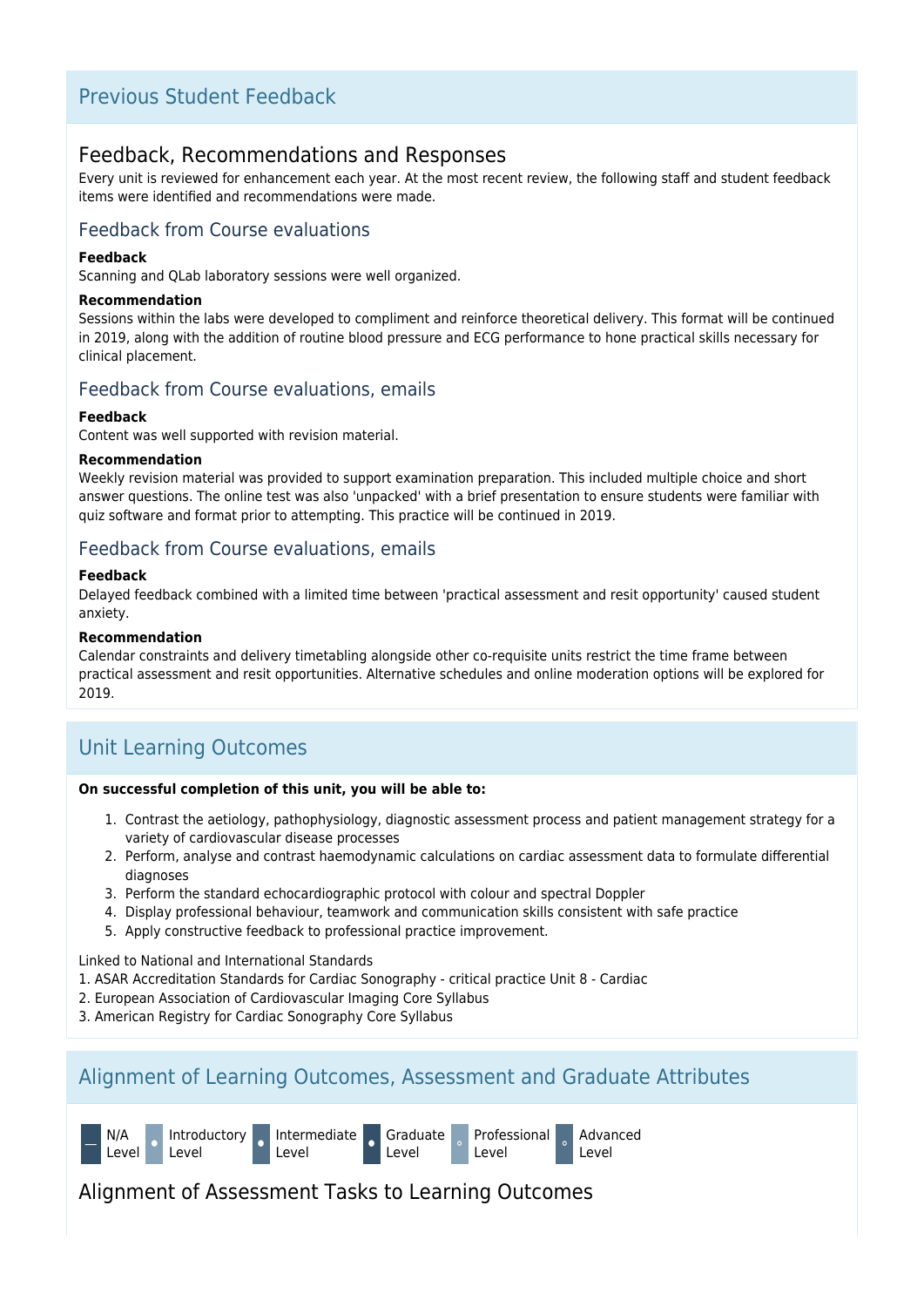# Previous Student Feedback

### Feedback, Recommendations and Responses

Every unit is reviewed for enhancement each year. At the most recent review, the following staff and student feedback items were identified and recommendations were made.

### Feedback from Course evaluations

#### **Feedback**

Scanning and QLab laboratory sessions were well organized.

#### **Recommendation**

Sessions within the labs were developed to compliment and reinforce theoretical delivery. This format will be continued in 2019, along with the addition of routine blood pressure and ECG performance to hone practical skills necessary for clinical placement.

### Feedback from Course evaluations, emails

#### **Feedback**

Content was well supported with revision material.

#### **Recommendation**

Weekly revision material was provided to support examination preparation. This included multiple choice and short answer questions. The online test was also 'unpacked' with a brief presentation to ensure students were familiar with quiz software and format prior to attempting. This practice will be continued in 2019.

#### Feedback from Course evaluations, emails

#### **Feedback**

Delayed feedback combined with a limited time between 'practical assessment and resit opportunity' caused student anxiety.

#### **Recommendation**

Calendar constraints and delivery timetabling alongside other co-requisite units restrict the time frame between practical assessment and resit opportunities. Alternative schedules and online moderation options will be explored for 2019.

# Unit Learning Outcomes

#### **On successful completion of this unit, you will be able to:**

- 1. Contrast the aetiology, pathophysiology, diagnostic assessment process and patient management strategy for a variety of cardiovascular disease processes
- 2. Perform, analyse and contrast haemodynamic calculations on cardiac assessment data to formulate differential diagnoses
- 3. Perform the standard echocardiographic protocol with colour and spectral Doppler
- 4. Display professional behaviour, teamwork and communication skills consistent with safe practice
- 5. Apply constructive feedback to professional practice improvement.

#### Linked to National and International Standards

- 1. ASAR Accreditation Standards for Cardiac Sonography critical practice Unit 8 Cardiac
- 2. European Association of Cardiovascular Imaging Core Syllabus
- 3. American Registry for Cardiac Sonography Core Syllabus

# Alignment of Learning Outcomes, Assessment and Graduate Attributes



# Alignment of Assessment Tasks to Learning Outcomes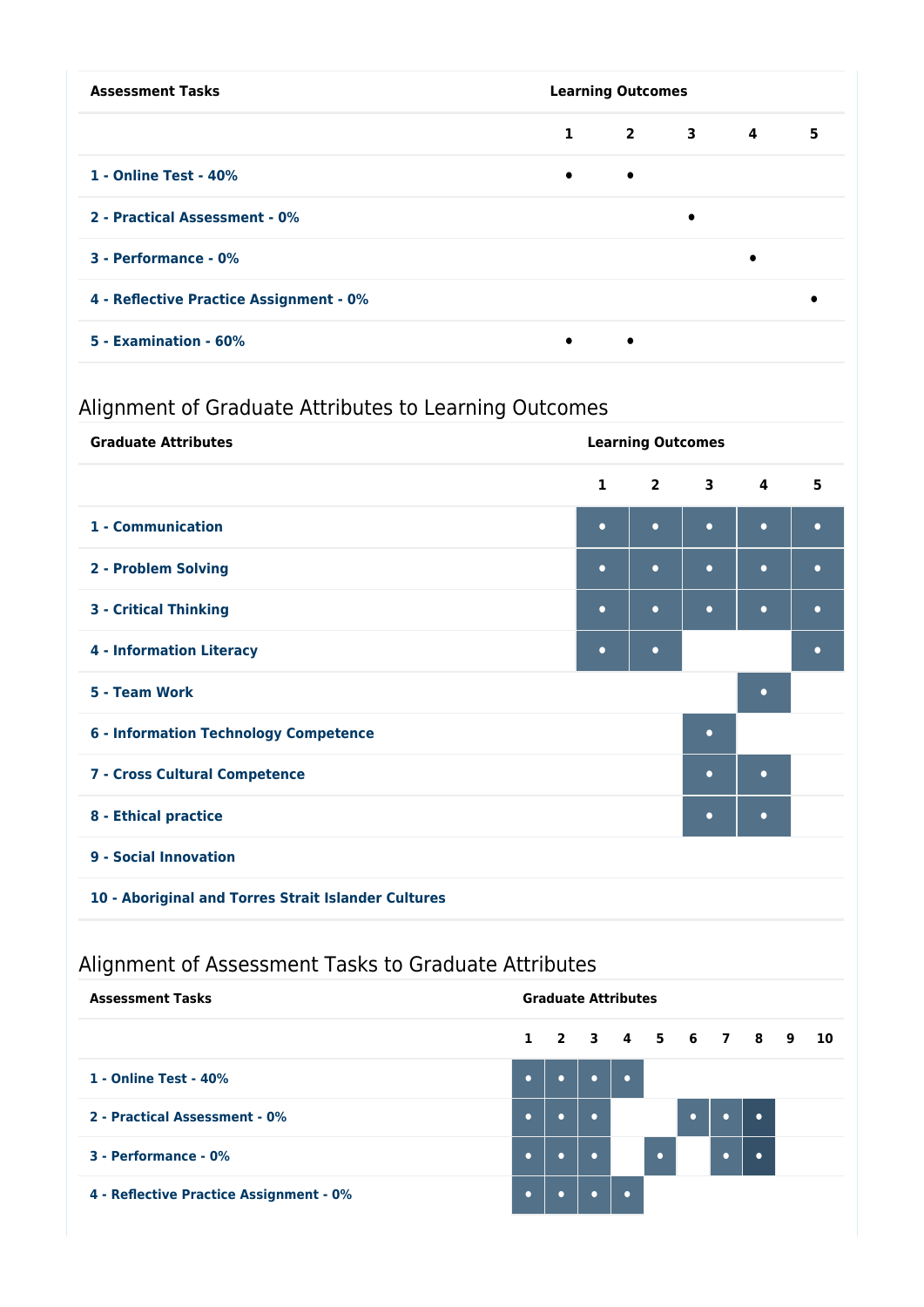| <b>Assessment Tasks</b>                 | <b>Learning Outcomes</b> |           |           |                             |   |
|-----------------------------------------|--------------------------|-----------|-----------|-----------------------------|---|
|                                         |                          |           |           | $1 \quad 2 \quad 3 \quad 4$ | 5 |
| 1 - Online Test - 40%                   | $\bullet$                | $\bullet$ |           |                             |   |
| 2 - Practical Assessment - 0%           |                          |           | $\bullet$ |                             |   |
| 3 - Performance - 0%                    |                          |           |           | $\bullet$                   |   |
| 4 - Reflective Practice Assignment - 0% |                          |           |           |                             |   |
| 5 - Examination - 60%                   | $\bullet$                | $\bullet$ |           |                             |   |

# Alignment of Graduate Attributes to Learning Outcomes

| <b>Graduate Attributes</b>                          | <b>Learning Outcomes</b> |                |             |                         |           |  |  |
|-----------------------------------------------------|--------------------------|----------------|-------------|-------------------------|-----------|--|--|
|                                                     | $\mathbf{1}$             | $\overline{2}$ | $3^{\circ}$ | $\overline{\mathbf{4}}$ | 5         |  |  |
| 1 - Communication                                   | $\bullet$                | $\bullet$      | $\bullet$   | $\bullet$               | $\bullet$ |  |  |
| 2 - Problem Solving                                 | $\bullet$                | $\bullet$      | $\bullet$   | $\bullet$               | $\bullet$ |  |  |
| <b>3 - Critical Thinking</b>                        | $\bullet$                | $\bullet$      | $\bullet$   | $\bullet$               | $\bullet$ |  |  |
| <b>4 - Information Literacy</b>                     | $\bullet$                | $\bullet$      |             |                         | $\bullet$ |  |  |
| 5 - Team Work                                       |                          |                |             | $\bullet$               |           |  |  |
| <b>6 - Information Technology Competence</b>        |                          |                |             |                         |           |  |  |
| 7 - Cross Cultural Competence                       |                          |                |             |                         |           |  |  |
| 8 - Ethical practice                                | $\bullet$                | $\bullet$      |             |                         |           |  |  |
| 9 - Social Innovation                               |                          |                |             |                         |           |  |  |
| 10 - Aboriginal and Torres Strait Islander Cultures |                          |                |             |                         |           |  |  |

# Alignment of Assessment Tasks to Graduate Attributes

| <b>Assessment Tasks</b>                 | <b>Graduate Attributes</b> |  |                |           |           |           |                      |           |  |
|-----------------------------------------|----------------------------|--|----------------|-----------|-----------|-----------|----------------------|-----------|--|
|                                         |                            |  |                |           |           |           | 1 2 3 4 5 6 7 8 9 10 |           |  |
| 1 - Online Test - 40%                   | $\bullet$                  |  | $\blacksquare$ | $\bullet$ |           |           |                      |           |  |
| 2 - Practical Assessment - 0%           | $\bullet$                  |  | $\bullet$      |           |           | $\bullet$ |                      | $\bullet$ |  |
| 3 - Performance - 0%                    | $\bullet$                  |  | $\bullet$      |           | $\bullet$ |           | ю.                   | $\bullet$ |  |
| 4 - Reflective Practice Assignment - 0% | $\bullet$                  |  |                | $\bullet$ |           |           |                      |           |  |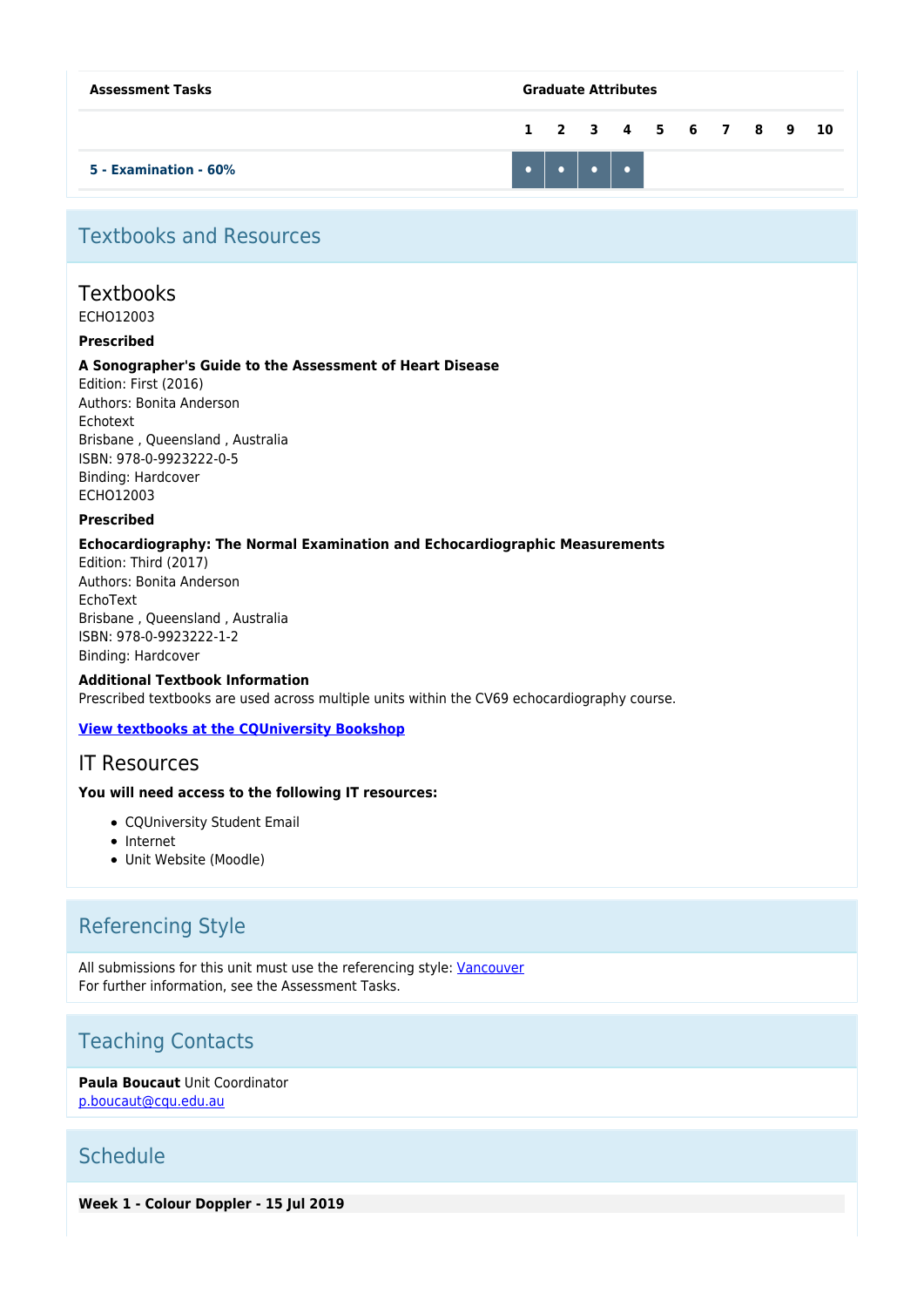| <b>Assessment Tasks</b> | <b>Graduate Attributes</b> |                                 |  |  |  |                      |  |  |
|-------------------------|----------------------------|---------------------------------|--|--|--|----------------------|--|--|
|                         |                            |                                 |  |  |  | 1 2 3 4 5 6 7 8 9 10 |  |  |
| 5 - Examination - 60%   |                            | $\cdot \cdot \cdot \cdot \cdot$ |  |  |  |                      |  |  |

# Textbooks and Resources

### **Textbooks**

ECHO12003

#### **Prescribed**

#### **A Sonographer's Guide to the Assessment of Heart Disease**

Edition: First (2016) Authors: Bonita Anderson Echotext Brisbane , Queensland , Australia ISBN: 978-0-9923222-0-5 Binding: Hardcover ECHO12003

#### **Prescribed**

#### **Echocardiography: The Normal Examination and Echocardiographic Measurements**

Edition: Third (2017) Authors: Bonita Anderson EchoText Brisbane , Queensland , Australia ISBN: 978-0-9923222-1-2 Binding: Hardcover

**Additional Textbook Information** Prescribed textbooks are used across multiple units within the CV69 echocardiography course.

#### **[View textbooks at the CQUniversity Bookshop](https://bookshop.cqu.edu.au/)**

### IT Resources

#### **You will need access to the following IT resources:**

- CQUniversity Student Email
- Internet
- Unit Website (Moodle)

# Referencing Style

All submissions for this unit must use the referencing style: [Vancouver](https://delivery-cqucontenthub.stylelabs.cloud/api/public/content/vancouver-referencing-style.pdf?v=b2634684) For further information, see the Assessment Tasks.

# Teaching Contacts

**Paula Boucaut** Unit Coordinator [p.boucaut@cqu.edu.au](mailto:p.boucaut@cqu.edu.au)

# **Schedule**

**Week 1 - Colour Doppler - 15 Jul 2019**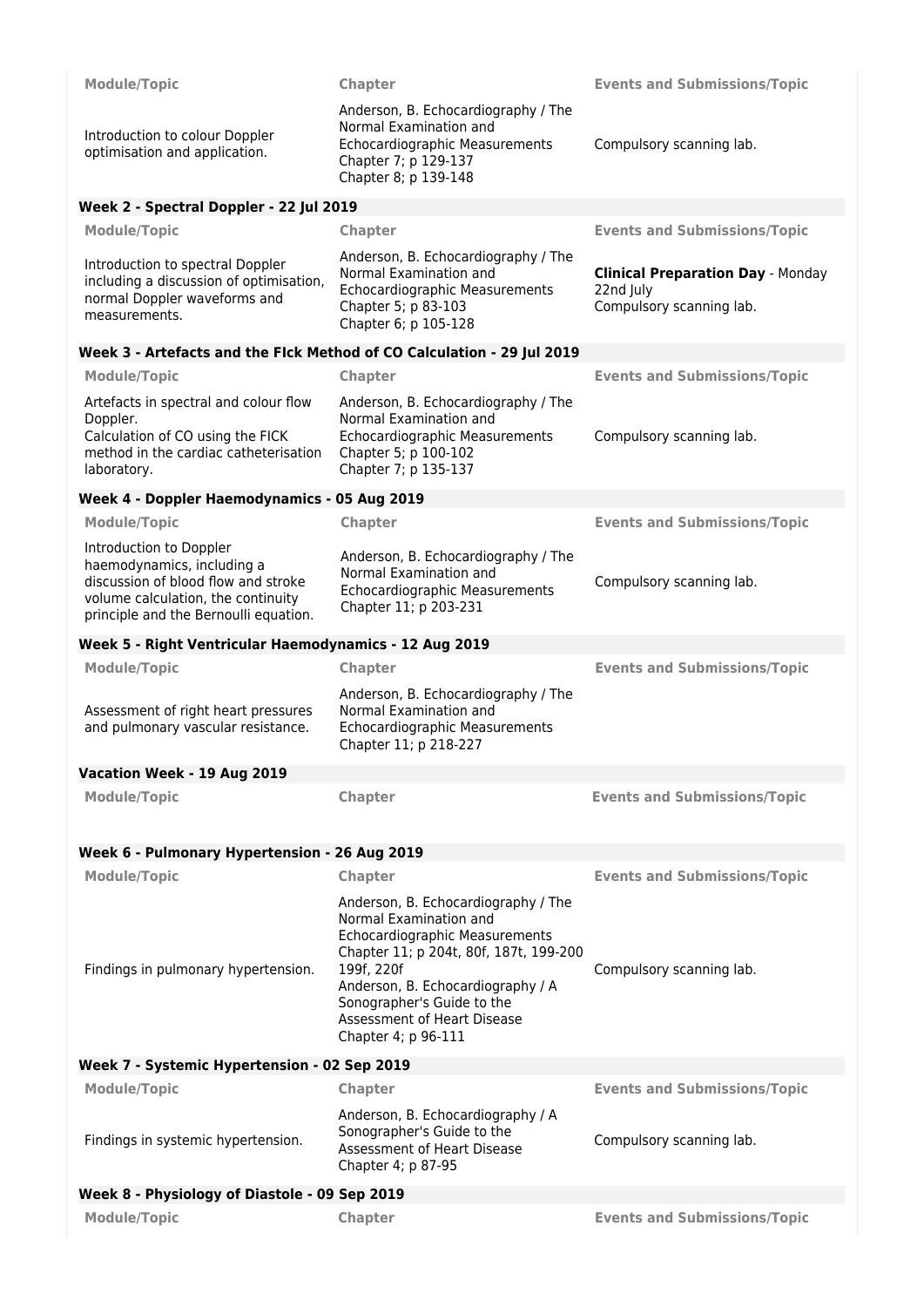| <b>Module/Topic</b>                                                                                                                                                         | Chapter                                                                                                                                                                                                                                                                          | <b>Events and Submissions/Topic</b>                                               |
|-----------------------------------------------------------------------------------------------------------------------------------------------------------------------------|----------------------------------------------------------------------------------------------------------------------------------------------------------------------------------------------------------------------------------------------------------------------------------|-----------------------------------------------------------------------------------|
| Introduction to colour Doppler<br>optimisation and application.                                                                                                             | Anderson, B. Echocardiography / The<br>Normal Examination and<br>Echocardiographic Measurements<br>Chapter 7; p 129-137<br>Chapter 8; p 139-148                                                                                                                                  | Compulsory scanning lab.                                                          |
| Week 2 - Spectral Doppler - 22 Jul 2019                                                                                                                                     |                                                                                                                                                                                                                                                                                  |                                                                                   |
| <b>Module/Topic</b>                                                                                                                                                         | Chapter                                                                                                                                                                                                                                                                          | <b>Events and Submissions/Topic</b>                                               |
| Introduction to spectral Doppler<br>including a discussion of optimisation,<br>normal Doppler waveforms and<br>measurements.                                                | Anderson, B. Echocardiography / The<br>Normal Examination and<br><b>Echocardiographic Measurements</b><br>Chapter 5; p 83-103<br>Chapter 6; p 105-128                                                                                                                            | <b>Clinical Preparation Day - Monday</b><br>22nd July<br>Compulsory scanning lab. |
| Week 3 - Artefacts and the FIck Method of CO Calculation - 29 Jul 2019                                                                                                      |                                                                                                                                                                                                                                                                                  |                                                                                   |
| <b>Module/Topic</b>                                                                                                                                                         | Chapter                                                                                                                                                                                                                                                                          | <b>Events and Submissions/Topic</b>                                               |
| Artefacts in spectral and colour flow<br>Doppler.<br>Calculation of CO using the FICK<br>method in the cardiac catheterisation<br>laboratory.                               | Anderson, B. Echocardiography / The<br>Normal Examination and<br>Echocardiographic Measurements<br>Chapter 5; p 100-102<br>Chapter 7; p 135-137                                                                                                                                  | Compulsory scanning lab.                                                          |
| Week 4 - Doppler Haemodynamics - 05 Aug 2019                                                                                                                                |                                                                                                                                                                                                                                                                                  |                                                                                   |
| <b>Module/Topic</b>                                                                                                                                                         | Chapter                                                                                                                                                                                                                                                                          | <b>Events and Submissions/Topic</b>                                               |
| Introduction to Doppler<br>haemodynamics, including a<br>discussion of blood flow and stroke<br>volume calculation, the continuity<br>principle and the Bernoulli equation. | Anderson, B. Echocardiography / The<br>Normal Examination and<br>Echocardiographic Measurements<br>Chapter 11; p 203-231                                                                                                                                                         | Compulsory scanning lab.                                                          |
| Week 5 - Right Ventricular Haemodynamics - 12 Aug 2019                                                                                                                      |                                                                                                                                                                                                                                                                                  |                                                                                   |
| <b>Module/Topic</b>                                                                                                                                                         | <b>Chapter</b>                                                                                                                                                                                                                                                                   | <b>Events and Submissions/Topic</b>                                               |
| Assessment of right heart pressures<br>and pulmonary vascular resistance.                                                                                                   | Anderson, B. Echocardiography / The<br>Normal Examination and<br><b>Echocardiographic Measurements</b><br>Chapter 11; p 218-227                                                                                                                                                  |                                                                                   |
| Vacation Week - 19 Aug 2019                                                                                                                                                 |                                                                                                                                                                                                                                                                                  |                                                                                   |
| <b>Module/Topic</b>                                                                                                                                                         | Chapter                                                                                                                                                                                                                                                                          | <b>Events and Submissions/Topic</b>                                               |
| Week 6 - Pulmonary Hypertension - 26 Aug 2019                                                                                                                               |                                                                                                                                                                                                                                                                                  |                                                                                   |
| <b>Module/Topic</b>                                                                                                                                                         | Chapter                                                                                                                                                                                                                                                                          | <b>Events and Submissions/Topic</b>                                               |
| Findings in pulmonary hypertension.                                                                                                                                         | Anderson, B. Echocardiography / The<br>Normal Examination and<br>Echocardiographic Measurements<br>Chapter 11; p 204t, 80f, 187t, 199-200<br>199f, 220f<br>Anderson, B. Echocardiography / A<br>Sonographer's Guide to the<br>Assessment of Heart Disease<br>Chapter 4; p 96-111 | Compulsory scanning lab.                                                          |
| Week 7 - Systemic Hypertension - 02 Sep 2019                                                                                                                                |                                                                                                                                                                                                                                                                                  |                                                                                   |
| <b>Module/Topic</b>                                                                                                                                                         | Chapter                                                                                                                                                                                                                                                                          | <b>Events and Submissions/Topic</b>                                               |
| Findings in systemic hypertension.                                                                                                                                          | Anderson, B. Echocardiography / A<br>Sonographer's Guide to the<br>Assessment of Heart Disease<br>Chapter 4; p 87-95                                                                                                                                                             | Compulsory scanning lab.                                                          |
| Week 8 - Physiology of Diastole - 09 Sep 2019                                                                                                                               |                                                                                                                                                                                                                                                                                  |                                                                                   |
| <b>Module/Topic</b>                                                                                                                                                         | Chapter                                                                                                                                                                                                                                                                          | <b>Events and Submissions/Topic</b>                                               |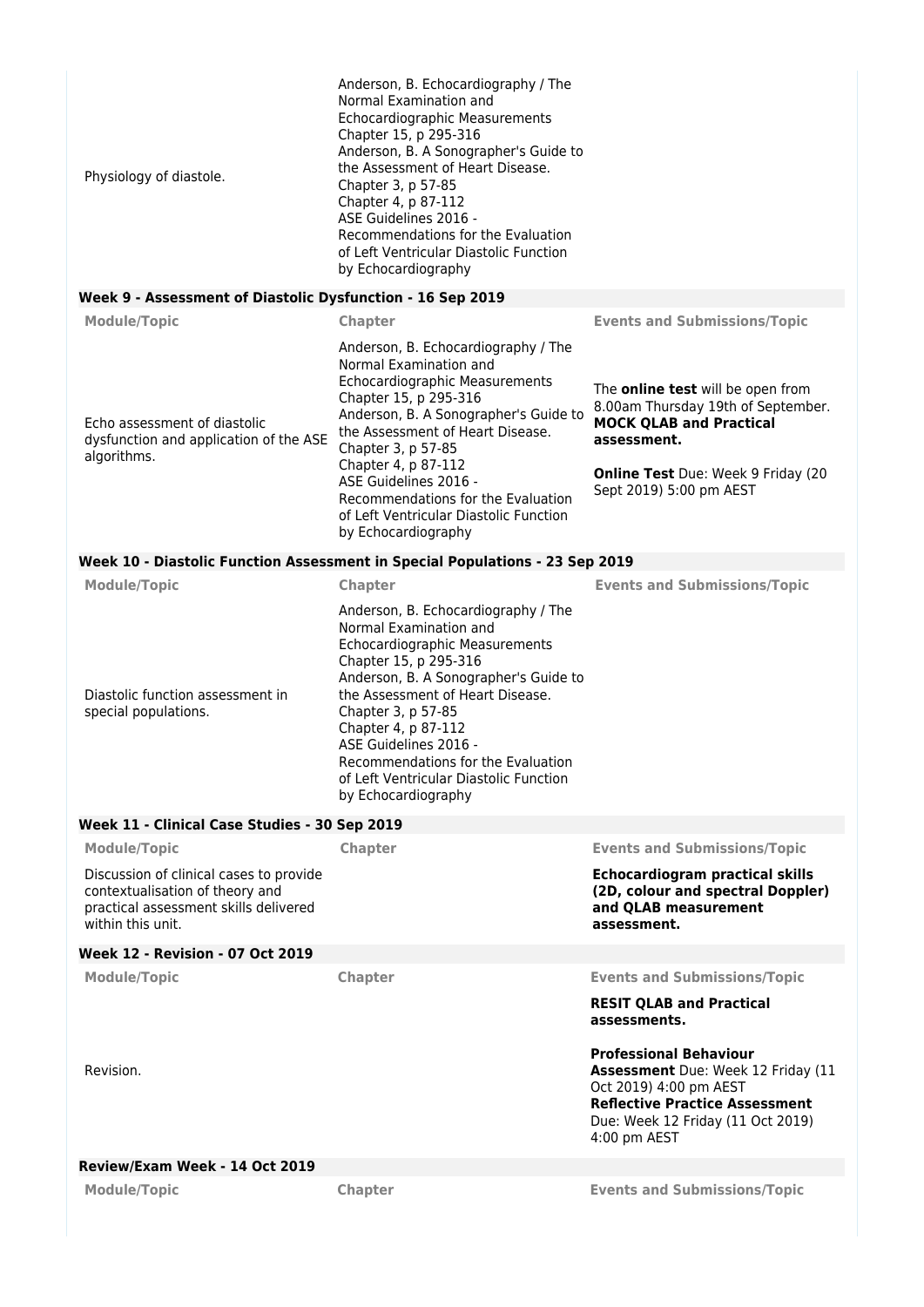| Physiology of diastole.                                                                                                                  | Anderson, B. Echocardiography / The<br>Normal Examination and<br>Echocardiographic Measurements<br>Chapter 15, p 295-316<br>Anderson, B. A Sonographer's Guide to<br>the Assessment of Heart Disease.<br>Chapter 3, p 57-85<br>Chapter 4, p 87-112<br>ASE Guidelines 2016 -<br>Recommendations for the Evaluation<br>of Left Ventricular Diastolic Function<br>by Echocardiography |                                                                                                                                                                                                     |
|------------------------------------------------------------------------------------------------------------------------------------------|------------------------------------------------------------------------------------------------------------------------------------------------------------------------------------------------------------------------------------------------------------------------------------------------------------------------------------------------------------------------------------|-----------------------------------------------------------------------------------------------------------------------------------------------------------------------------------------------------|
| Week 9 - Assessment of Diastolic Dysfunction - 16 Sep 2019                                                                               |                                                                                                                                                                                                                                                                                                                                                                                    |                                                                                                                                                                                                     |
| <b>Module/Topic</b>                                                                                                                      | <b>Chapter</b>                                                                                                                                                                                                                                                                                                                                                                     | <b>Events and Submissions/Topic</b>                                                                                                                                                                 |
| Echo assessment of diastolic<br>dysfunction and application of the ASE<br>algorithms.                                                    | Anderson, B. Echocardiography / The<br>Normal Examination and<br>Echocardiographic Measurements<br>Chapter 15, p 295-316<br>Anderson, B. A Sonographer's Guide to<br>the Assessment of Heart Disease.<br>Chapter 3, p 57-85<br>Chapter 4, p 87-112<br>ASE Guidelines 2016 -<br>Recommendations for the Evaluation<br>of Left Ventricular Diastolic Function<br>by Echocardiography | The online test will be open from<br>8.00am Thursday 19th of September.<br><b>MOCK QLAB and Practical</b><br>assessment.<br><b>Online Test</b> Due: Week 9 Friday (20<br>Sept 2019) 5:00 pm AEST    |
| Week 10 - Diastolic Function Assessment in Special Populations - 23 Sep 2019                                                             |                                                                                                                                                                                                                                                                                                                                                                                    |                                                                                                                                                                                                     |
| <b>Module/Topic</b>                                                                                                                      | <b>Chapter</b>                                                                                                                                                                                                                                                                                                                                                                     | <b>Events and Submissions/Topic</b>                                                                                                                                                                 |
| Diastolic function assessment in<br>special populations.                                                                                 | Anderson, B. Echocardiography / The<br>Normal Examination and<br>Echocardiographic Measurements<br>Chapter 15, p 295-316<br>Anderson, B. A Sonographer's Guide to<br>the Assessment of Heart Disease.<br>Chapter 3, p 57-85<br>Chapter 4, p 87-112<br>ASE Guidelines 2016 -<br>Recommendations for the Evaluation<br>of Left Ventricular Diastolic Function<br>by Echocardiography |                                                                                                                                                                                                     |
| Week 11 - Clinical Case Studies - 30 Sep 2019                                                                                            |                                                                                                                                                                                                                                                                                                                                                                                    |                                                                                                                                                                                                     |
| <b>Module/Topic</b>                                                                                                                      | <b>Chapter</b>                                                                                                                                                                                                                                                                                                                                                                     | <b>Events and Submissions/Topic</b>                                                                                                                                                                 |
| Discussion of clinical cases to provide<br>contextualisation of theory and<br>practical assessment skills delivered<br>within this unit. |                                                                                                                                                                                                                                                                                                                                                                                    | <b>Echocardiogram practical skills</b><br>(2D, colour and spectral Doppler)<br>and QLAB measurement<br>assessment.                                                                                  |
| <b>Week 12 - Revision - 07 Oct 2019</b>                                                                                                  |                                                                                                                                                                                                                                                                                                                                                                                    |                                                                                                                                                                                                     |
| <b>Module/Topic</b>                                                                                                                      | Chapter                                                                                                                                                                                                                                                                                                                                                                            | <b>Events and Submissions/Topic</b>                                                                                                                                                                 |
|                                                                                                                                          |                                                                                                                                                                                                                                                                                                                                                                                    | <b>RESIT QLAB and Practical</b><br>assessments.                                                                                                                                                     |
| Revision.                                                                                                                                |                                                                                                                                                                                                                                                                                                                                                                                    | <b>Professional Behaviour</b><br><b>Assessment</b> Due: Week 12 Friday (11)<br>Oct 2019) 4:00 pm AEST<br><b>Reflective Practice Assessment</b><br>Due: Week 12 Friday (11 Oct 2019)<br>4:00 pm AEST |
| Review/Exam Week - 14 Oct 2019                                                                                                           |                                                                                                                                                                                                                                                                                                                                                                                    |                                                                                                                                                                                                     |
| <b>Module/Topic</b>                                                                                                                      | <b>Chapter</b>                                                                                                                                                                                                                                                                                                                                                                     | <b>Events and Submissions/Topic</b>                                                                                                                                                                 |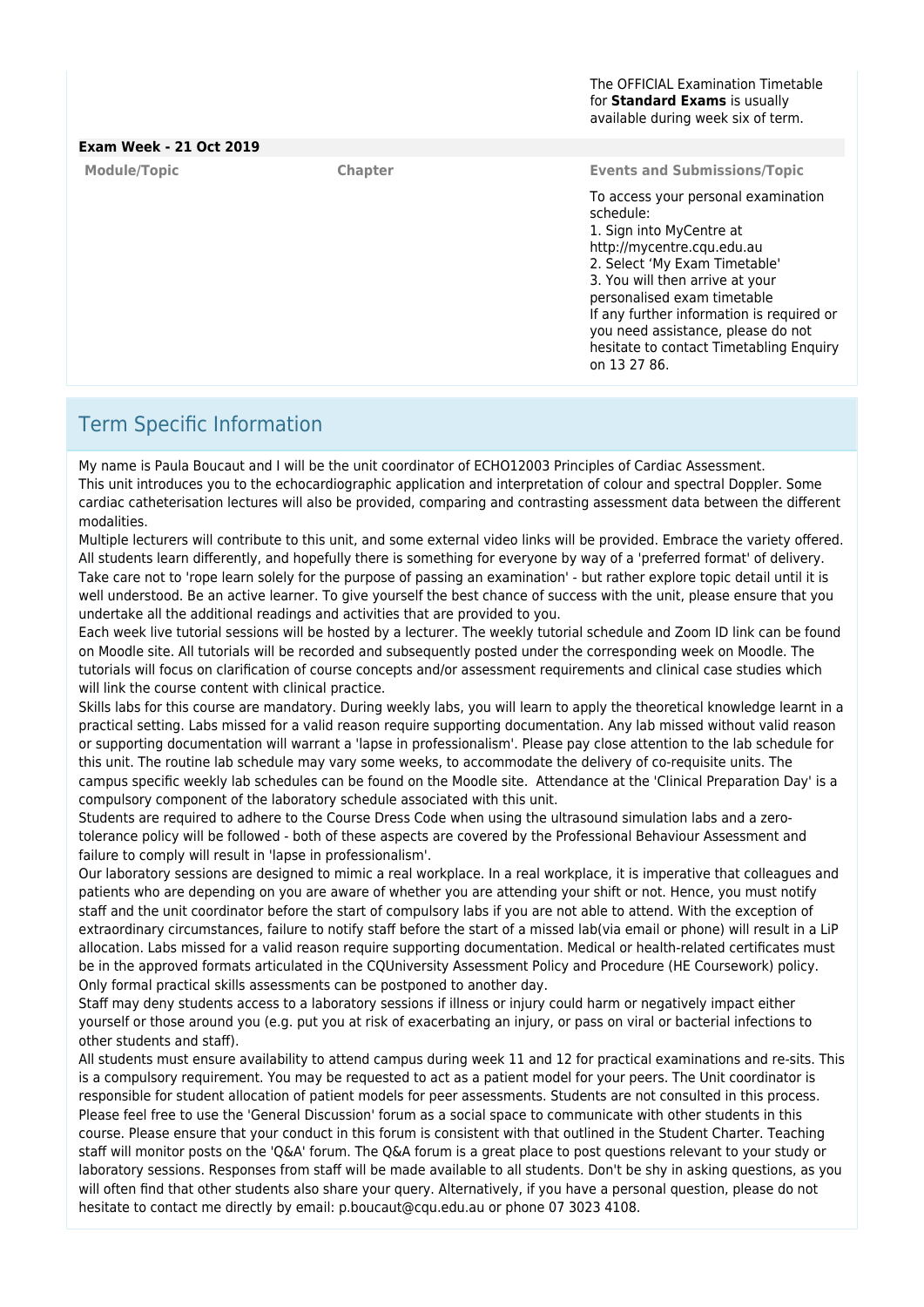The OFFICIAL Examination Timetable for **Standard Exams** is usually available during week six of term.

#### **Exam Week - 21 Oct 2019**

**Module/Topic Chapter Events and Submissions/Topic**

To access your personal examination schedule: 1. Sign into MyCentre at http://mycentre.cqu.edu.au 2. Select 'My Exam Timetable' 3. You will then arrive at your personalised exam timetable If any further information is required or you need assistance, please do not hesitate to contact Timetabling Enquiry on 13 27 86.

### Term Specific Information

My name is Paula Boucaut and I will be the unit coordinator of ECHO12003 Principles of Cardiac Assessment. This unit introduces you to the echocardiographic application and interpretation of colour and spectral Doppler. Some cardiac catheterisation lectures will also be provided, comparing and contrasting assessment data between the different modalities.

Multiple lecturers will contribute to this unit, and some external video links will be provided. Embrace the variety offered. All students learn differently, and hopefully there is something for everyone by way of a 'preferred format' of delivery. Take care not to 'rope learn solely for the purpose of passing an examination' - but rather explore topic detail until it is well understood. Be an active learner. To give yourself the best chance of success with the unit, please ensure that you undertake all the additional readings and activities that are provided to you.

Each week live tutorial sessions will be hosted by a lecturer. The weekly tutorial schedule and Zoom ID link can be found on Moodle site. All tutorials will be recorded and subsequently posted under the corresponding week on Moodle. The tutorials will focus on clarification of course concepts and/or assessment requirements and clinical case studies which will link the course content with clinical practice.

Skills labs for this course are mandatory. During weekly labs, you will learn to apply the theoretical knowledge learnt in a practical setting. Labs missed for a valid reason require supporting documentation. Any lab missed without valid reason or supporting documentation will warrant a 'lapse in professionalism'. Please pay close attention to the lab schedule for this unit. The routine lab schedule may vary some weeks, to accommodate the delivery of co-requisite units. The campus specific weekly lab schedules can be found on the Moodle site. Attendance at the 'Clinical Preparation Day' is a compulsory component of the laboratory schedule associated with this unit.

Students are required to adhere to the Course Dress Code when using the ultrasound simulation labs and a zerotolerance policy will be followed - both of these aspects are covered by the Professional Behaviour Assessment and failure to comply will result in 'lapse in professionalism'.

Our laboratory sessions are designed to mimic a real workplace. In a real workplace, it is imperative that colleagues and patients who are depending on you are aware of whether you are attending your shift or not. Hence, you must notify staff and the unit coordinator before the start of compulsory labs if you are not able to attend. With the exception of extraordinary circumstances, failure to notify staff before the start of a missed lab(via email or phone) will result in a LiP allocation. Labs missed for a valid reason require supporting documentation. Medical or health-related certificates must be in the approved formats articulated in the CQUniversity Assessment Policy and Procedure (HE Coursework) policy. Only formal practical skills assessments can be postponed to another day.

Staff may deny students access to a laboratory sessions if illness or injury could harm or negatively impact either yourself or those around you (e.g. put you at risk of exacerbating an injury, or pass on viral or bacterial infections to other students and staff).

All students must ensure availability to attend campus during week 11 and 12 for practical examinations and re-sits. This is a compulsory requirement. You may be requested to act as a patient model for your peers. The Unit coordinator is responsible for student allocation of patient models for peer assessments. Students are not consulted in this process. Please feel free to use the 'General Discussion' forum as a social space to communicate with other students in this course. Please ensure that your conduct in this forum is consistent with that outlined in the Student Charter. Teaching staff will monitor posts on the 'Q&A' forum. The Q&A forum is a great place to post questions relevant to your study or laboratory sessions. Responses from staff will be made available to all students. Don't be shy in asking questions, as you will often find that other students also share your query. Alternatively, if you have a personal question, please do not hesitate to contact me directly by email: p.boucaut@cqu.edu.au or phone 07 3023 4108.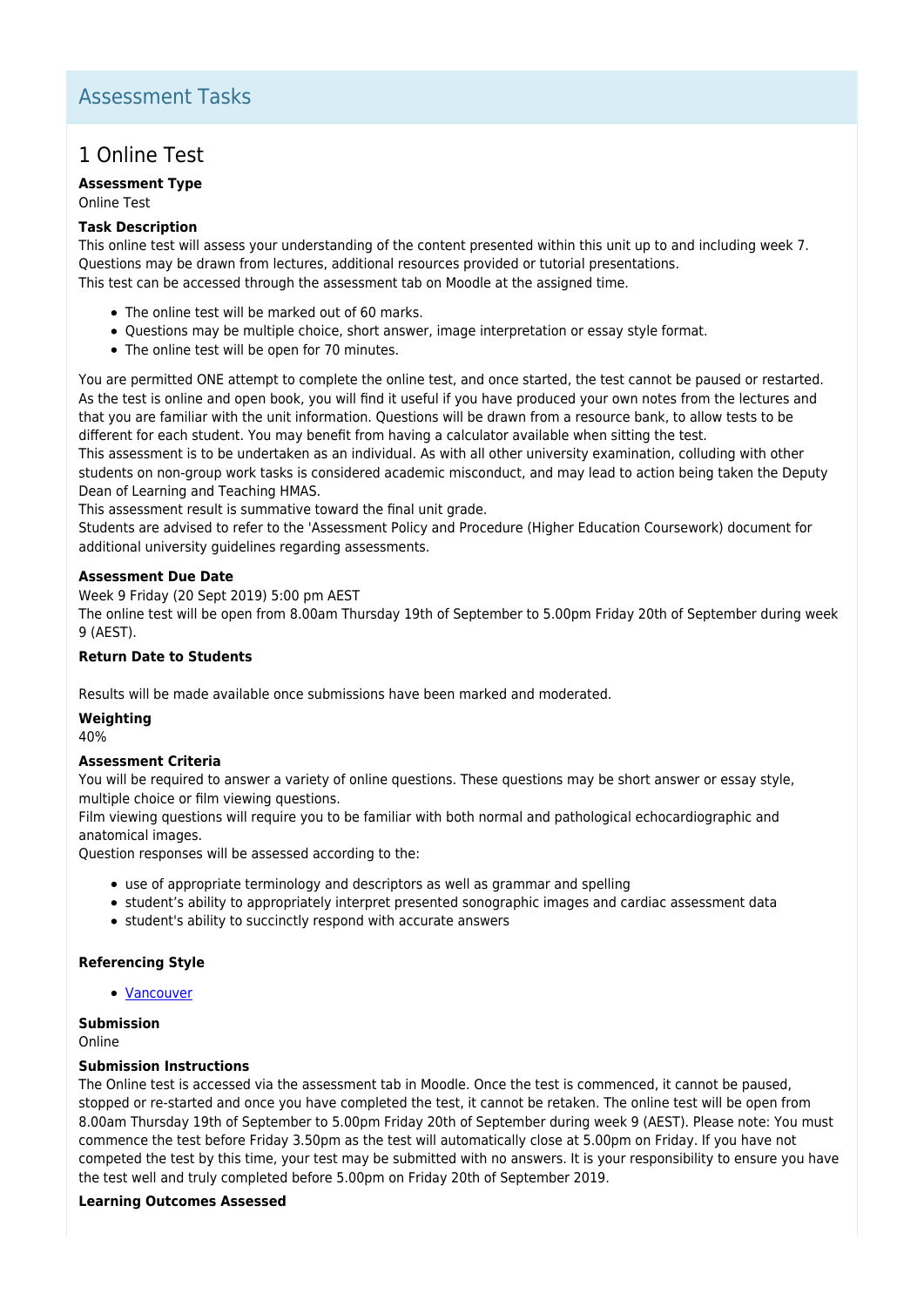# Assessment Tasks

# 1 Online Test

### **Assessment Type**

Online Test

#### **Task Description**

This online test will assess your understanding of the content presented within this unit up to and including week 7. Questions may be drawn from lectures, additional resources provided or tutorial presentations. This test can be accessed through the assessment tab on Moodle at the assigned time.

- The online test will be marked out of 60 marks.
- Questions may be multiple choice, short answer, image interpretation or essay style format.
- The online test will be open for 70 minutes.

You are permitted ONE attempt to complete the online test, and once started, the test cannot be paused or restarted. As the test is online and open book, you will find it useful if you have produced your own notes from the lectures and that you are familiar with the unit information. Questions will be drawn from a resource bank, to allow tests to be different for each student. You may benefit from having a calculator available when sitting the test.

This assessment is to be undertaken as an individual. As with all other university examination, colluding with other students on non-group work tasks is considered academic misconduct, and may lead to action being taken the Deputy Dean of Learning and Teaching HMAS.

This assessment result is summative toward the final unit grade.

Students are advised to refer to the 'Assessment Policy and Procedure (Higher Education Coursework) document for additional university guidelines regarding assessments.

#### **Assessment Due Date**

Week 9 Friday (20 Sept 2019) 5:00 pm AEST

The online test will be open from 8.00am Thursday 19th of September to 5.00pm Friday 20th of September during week 9 (AEST).

#### **Return Date to Students**

Results will be made available once submissions have been marked and moderated.

#### **Weighting**

40%

#### **Assessment Criteria**

You will be required to answer a variety of online questions. These questions may be short answer or essay style, multiple choice or film viewing questions.

Film viewing questions will require you to be familiar with both normal and pathological echocardiographic and anatomical images.

Question responses will be assessed according to the:

- use of appropriate terminology and descriptors as well as grammar and spelling
- student's ability to appropriately interpret presented sonographic images and cardiac assessment data
- student's ability to succinctly respond with accurate answers

#### **Referencing Style**

• [Vancouver](https://delivery-cqucontenthub.stylelabs.cloud/api/public/content/vancouver-referencing-style.pdf?v=b2634684)

#### **Submission**

Online

#### **Submission Instructions**

The Online test is accessed via the assessment tab in Moodle. Once the test is commenced, it cannot be paused, stopped or re-started and once you have completed the test, it cannot be retaken. The online test will be open from 8.00am Thursday 19th of September to 5.00pm Friday 20th of September during week 9 (AEST). Please note: You must commence the test before Friday 3.50pm as the test will automatically close at 5.00pm on Friday. If you have not competed the test by this time, your test may be submitted with no answers. It is your responsibility to ensure you have the test well and truly completed before 5.00pm on Friday 20th of September 2019.

#### **Learning Outcomes Assessed**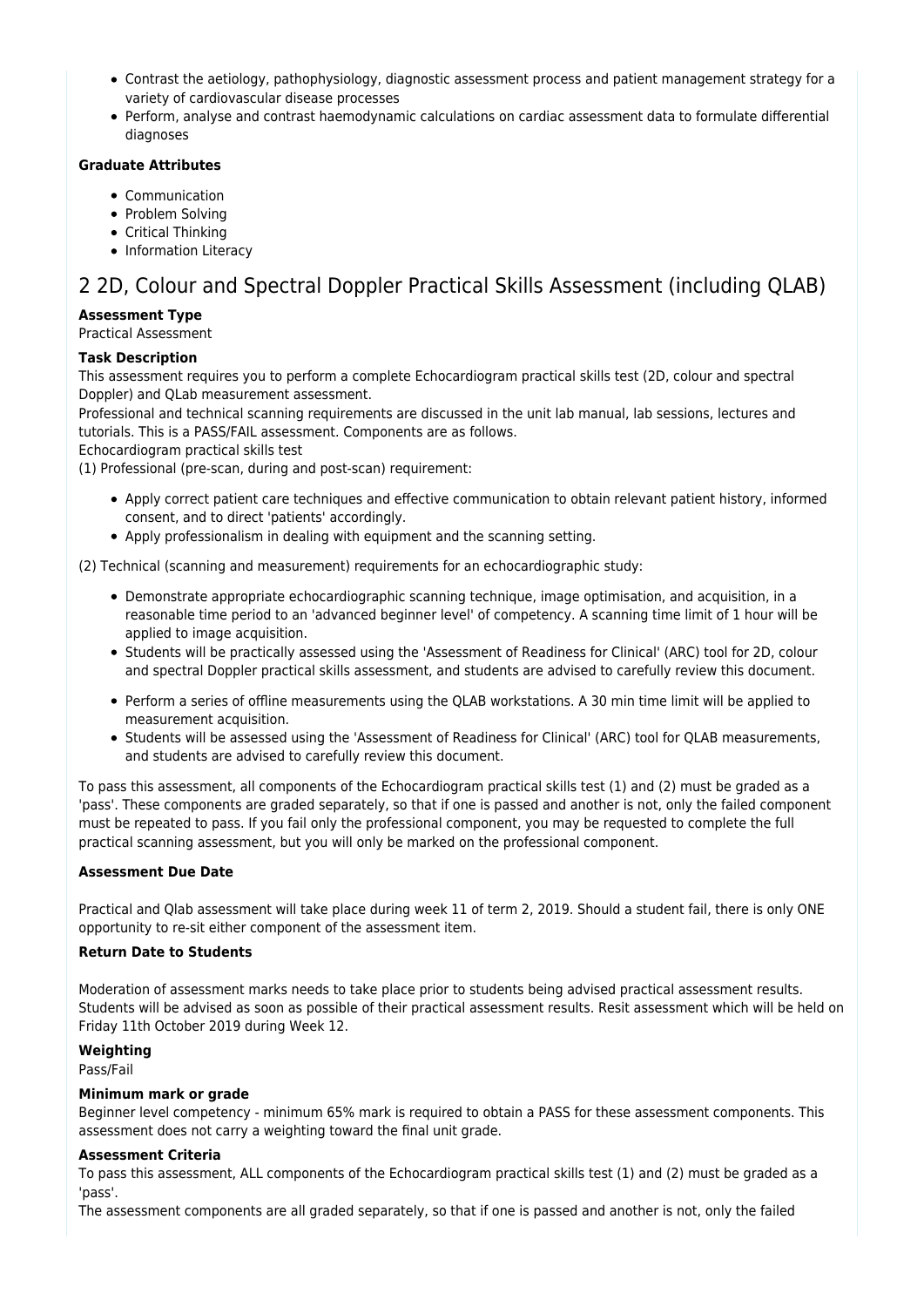- Contrast the aetiology, pathophysiology, diagnostic assessment process and patient management strategy for a variety of cardiovascular disease processes
- Perform, analyse and contrast haemodynamic calculations on cardiac assessment data to formulate differential diagnoses

#### **Graduate Attributes**

- Communication
- Problem Solving
- Critical Thinking
- Information Literacy

# 2 2D, Colour and Spectral Doppler Practical Skills Assessment (including QLAB)

#### **Assessment Type**

Practical Assessment

#### **Task Description**

This assessment requires you to perform a complete Echocardiogram practical skills test (2D, colour and spectral Doppler) and QLab measurement assessment.

Professional and technical scanning requirements are discussed in the unit lab manual, lab sessions, lectures and tutorials. This is a PASS/FAIL assessment. Components are as follows.

Echocardiogram practical skills test

(1) Professional (pre-scan, during and post-scan) requirement:

- Apply correct patient care techniques and effective communication to obtain relevant patient history, informed consent, and to direct 'patients' accordingly.
- Apply professionalism in dealing with equipment and the scanning setting.

(2) Technical (scanning and measurement) requirements for an echocardiographic study:

- Demonstrate appropriate echocardiographic scanning technique, image optimisation, and acquisition, in a reasonable time period to an 'advanced beginner level' of competency. A scanning time limit of 1 hour will be applied to image acquisition.
- Students will be practically assessed using the 'Assessment of Readiness for Clinical' (ARC) tool for 2D, colour and spectral Doppler practical skills assessment, and students are advised to carefully review this document.
- Perform a series of offline measurements using the QLAB workstations. A 30 min time limit will be applied to measurement acquisition.
- Students will be assessed using the 'Assessment of Readiness for Clinical' (ARC) tool for QLAB measurements, and students are advised to carefully review this document.

To pass this assessment, all components of the Echocardiogram practical skills test (1) and (2) must be graded as a 'pass'. These components are graded separately, so that if one is passed and another is not, only the failed component must be repeated to pass. If you fail only the professional component, you may be requested to complete the full practical scanning assessment, but you will only be marked on the professional component.

#### **Assessment Due Date**

Practical and Qlab assessment will take place during week 11 of term 2, 2019. Should a student fail, there is only ONE opportunity to re-sit either component of the assessment item.

#### **Return Date to Students**

Moderation of assessment marks needs to take place prior to students being advised practical assessment results. Students will be advised as soon as possible of their practical assessment results. Resit assessment which will be held on Friday 11th October 2019 during Week 12.

#### **Weighting**

Pass/Fail

#### **Minimum mark or grade**

Beginner level competency - minimum 65% mark is required to obtain a PASS for these assessment components. This assessment does not carry a weighting toward the final unit grade.

#### **Assessment Criteria**

To pass this assessment, ALL components of the Echocardiogram practical skills test (1) and (2) must be graded as a 'pass'.

The assessment components are all graded separately, so that if one is passed and another is not, only the failed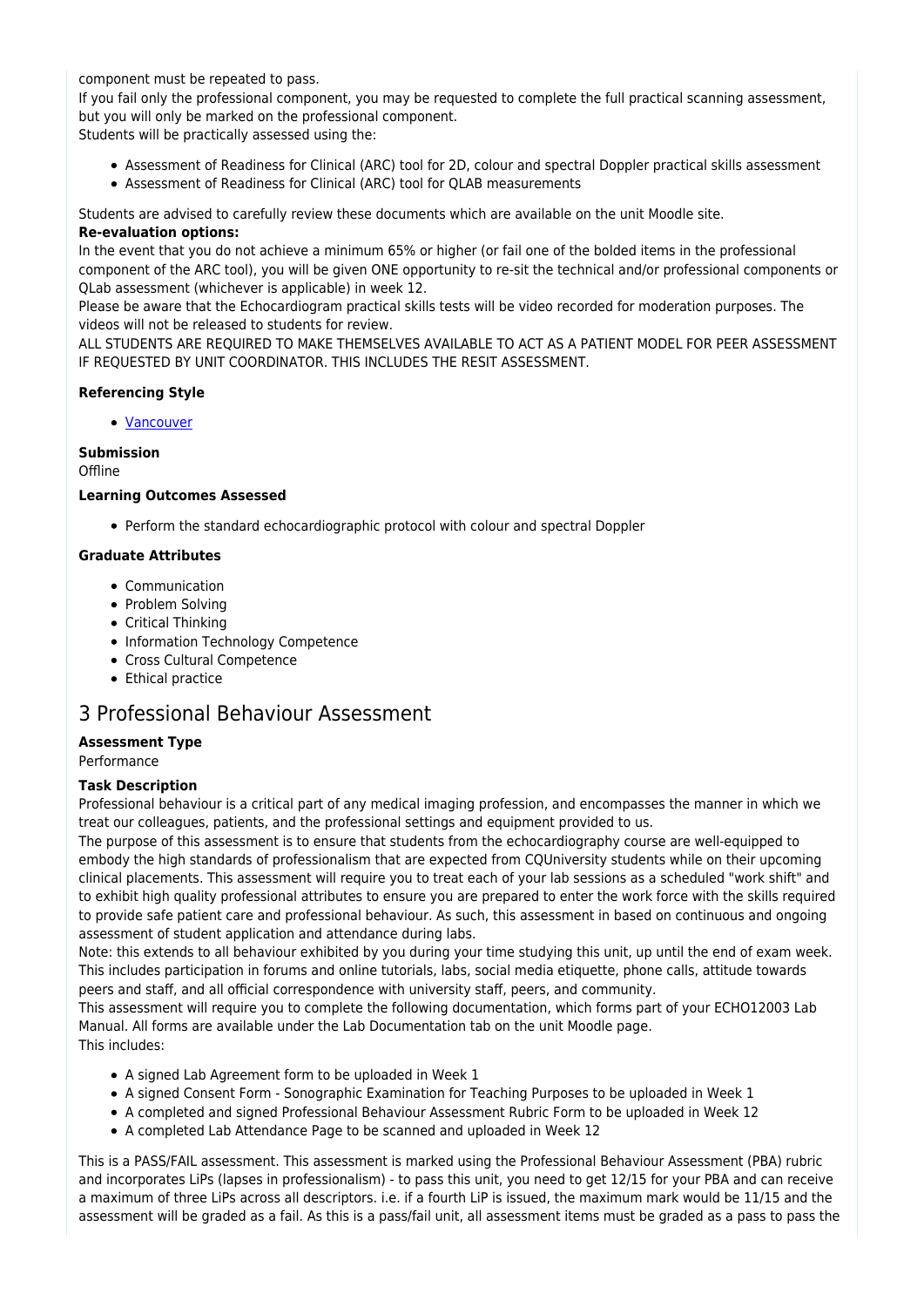component must be repeated to pass.

If you fail only the professional component, you may be requested to complete the full practical scanning assessment, but you will only be marked on the professional component.

Students will be practically assessed using the:

- Assessment of Readiness for Clinical (ARC) tool for 2D, colour and spectral Doppler practical skills assessment
- Assessment of Readiness for Clinical (ARC) tool for QLAB measurements

Students are advised to carefully review these documents which are available on the unit Moodle site.

#### **Re-evaluation options:**

In the event that you do not achieve a minimum 65% or higher (or fail one of the bolded items in the professional component of the ARC tool), you will be given ONE opportunity to re-sit the technical and/or professional components or QLab assessment (whichever is applicable) in week 12.

Please be aware that the Echocardiogram practical skills tests will be video recorded for moderation purposes. The videos will not be released to students for review.

ALL STUDENTS ARE REQUIRED TO MAKE THEMSELVES AVAILABLE TO ACT AS A PATIENT MODEL FOR PEER ASSESSMENT IF REQUESTED BY UNIT COORDINATOR. THIS INCLUDES THE RESIT ASSESSMENT.

#### **Referencing Style**

• [Vancouver](https://delivery-cqucontenthub.stylelabs.cloud/api/public/content/vancouver-referencing-style.pdf?v=b2634684)

#### **Submission**

**Offline** 

#### **Learning Outcomes Assessed**

Perform the standard echocardiographic protocol with colour and spectral Doppler

#### **Graduate Attributes**

- Communication
- Problem Solving
- Critical Thinking
- Information Technology Competence
- Cross Cultural Competence
- Ethical practice

# 3 Professional Behaviour Assessment

#### **Assessment Type**

Performance

#### **Task Description**

Professional behaviour is a critical part of any medical imaging profession, and encompasses the manner in which we treat our colleagues, patients, and the professional settings and equipment provided to us.

The purpose of this assessment is to ensure that students from the echocardiography course are well-equipped to embody the high standards of professionalism that are expected from CQUniversity students while on their upcoming clinical placements. This assessment will require you to treat each of your lab sessions as a scheduled "work shift" and to exhibit high quality professional attributes to ensure you are prepared to enter the work force with the skills required to provide safe patient care and professional behaviour. As such, this assessment in based on continuous and ongoing assessment of student application and attendance during labs.

Note: this extends to all behaviour exhibited by you during your time studying this unit, up until the end of exam week. This includes participation in forums and online tutorials, labs, social media etiquette, phone calls, attitude towards peers and staff, and all official correspondence with university staff, peers, and community.

This assessment will require you to complete the following documentation, which forms part of your ECHO12003 Lab Manual. All forms are available under the Lab Documentation tab on the unit Moodle page.

This includes:

- A signed Lab Agreement form to be uploaded in Week 1
- A signed Consent Form Sonographic Examination for Teaching Purposes to be uploaded in Week 1
- A completed and signed Professional Behaviour Assessment Rubric Form to be uploaded in Week 12
- A completed Lab Attendance Page to be scanned and uploaded in Week 12

This is a PASS/FAIL assessment. This assessment is marked using the Professional Behaviour Assessment (PBA) rubric and incorporates LiPs (lapses in professionalism) - to pass this unit, you need to get 12/15 for your PBA and can receive a maximum of three LiPs across all descriptors. i.e. if a fourth LiP is issued, the maximum mark would be 11/15 and the assessment will be graded as a fail. As this is a pass/fail unit, all assessment items must be graded as a pass to pass the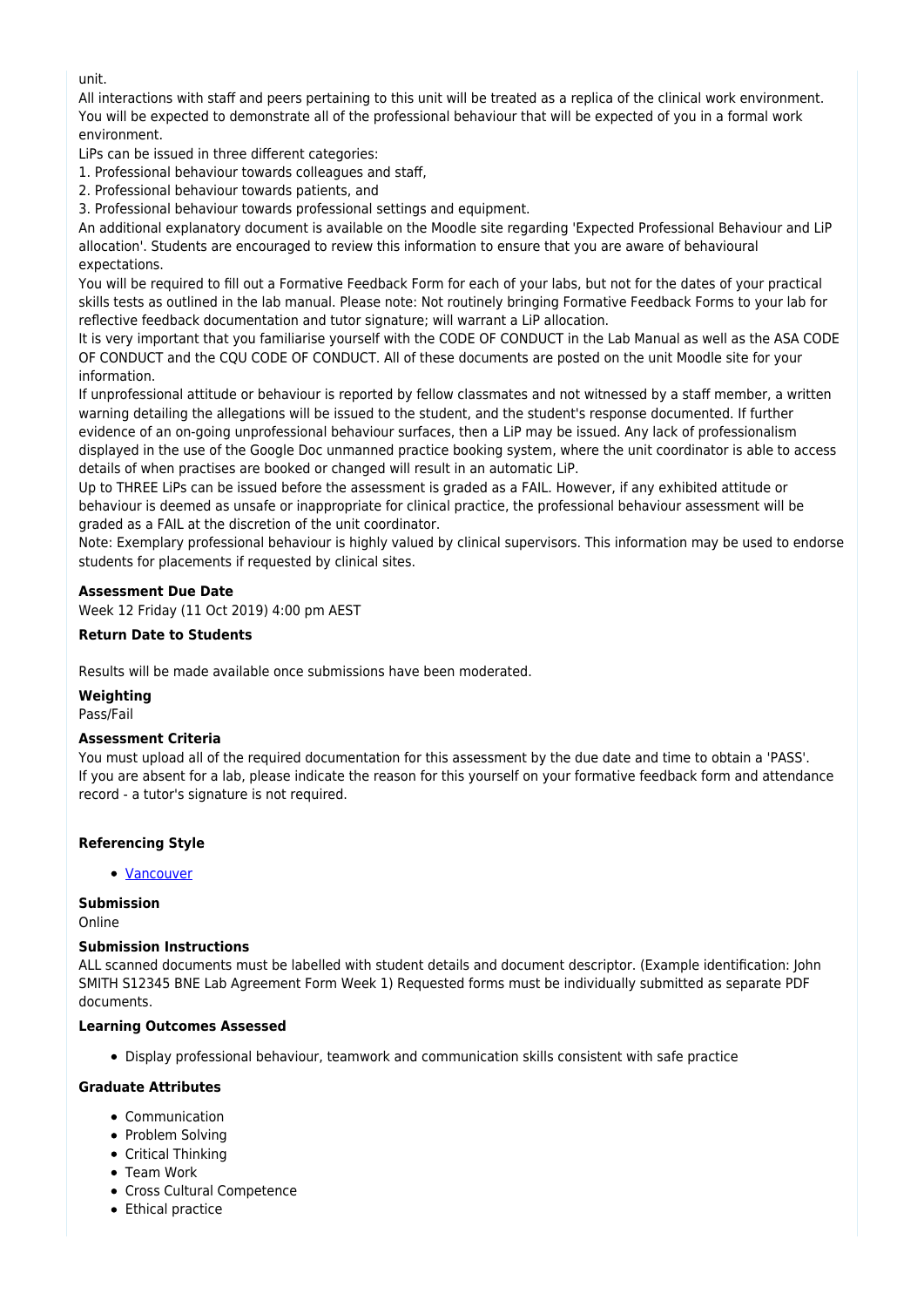#### unit.

All interactions with staff and peers pertaining to this unit will be treated as a replica of the clinical work environment. You will be expected to demonstrate all of the professional behaviour that will be expected of you in a formal work environment.

LiPs can be issued in three different categories:

1. Professional behaviour towards colleagues and staff,

2. Professional behaviour towards patients, and

3. Professional behaviour towards professional settings and equipment.

An additional explanatory document is available on the Moodle site regarding 'Expected Professional Behaviour and LiP allocation'. Students are encouraged to review this information to ensure that you are aware of behavioural expectations.

You will be required to fill out a Formative Feedback Form for each of your labs, but not for the dates of your practical skills tests as outlined in the lab manual. Please note: Not routinely bringing Formative Feedback Forms to your lab for reflective feedback documentation and tutor signature; will warrant a LiP allocation.

It is very important that you familiarise yourself with the CODE OF CONDUCT in the Lab Manual as well as the ASA CODE OF CONDUCT and the CQU CODE OF CONDUCT. All of these documents are posted on the unit Moodle site for your information.

If unprofessional attitude or behaviour is reported by fellow classmates and not witnessed by a staff member, a written warning detailing the allegations will be issued to the student, and the student's response documented. If further evidence of an on-going unprofessional behaviour surfaces, then a LiP may be issued. Any lack of professionalism displayed in the use of the Google Doc unmanned practice booking system, where the unit coordinator is able to access details of when practises are booked or changed will result in an automatic LiP.

Up to THREE LiPs can be issued before the assessment is graded as a FAIL. However, if any exhibited attitude or behaviour is deemed as unsafe or inappropriate for clinical practice, the professional behaviour assessment will be graded as a FAIL at the discretion of the unit coordinator.

Note: Exemplary professional behaviour is highly valued by clinical supervisors. This information may be used to endorse students for placements if requested by clinical sites.

#### **Assessment Due Date**

Week 12 Friday (11 Oct 2019) 4:00 pm AEST

#### **Return Date to Students**

Results will be made available once submissions have been moderated.

#### **Weighting**

Pass/Fail

#### **Assessment Criteria**

You must upload all of the required documentation for this assessment by the due date and time to obtain a 'PASS'. If you are absent for a lab, please indicate the reason for this yourself on your formative feedback form and attendance record - a tutor's signature is not required.

#### **Referencing Style**

• [Vancouver](https://delivery-cqucontenthub.stylelabs.cloud/api/public/content/vancouver-referencing-style.pdf?v=b2634684)

#### **Submission**

Online

#### **Submission Instructions**

ALL scanned documents must be labelled with student details and document descriptor. (Example identification: John SMITH S12345 BNE Lab Agreement Form Week 1) Requested forms must be individually submitted as separate PDF documents.

#### **Learning Outcomes Assessed**

Display professional behaviour, teamwork and communication skills consistent with safe practice

#### **Graduate Attributes**

- Communication
- Problem Solving
- Critical Thinking
- Team Work
- Cross Cultural Competence
- Ethical practice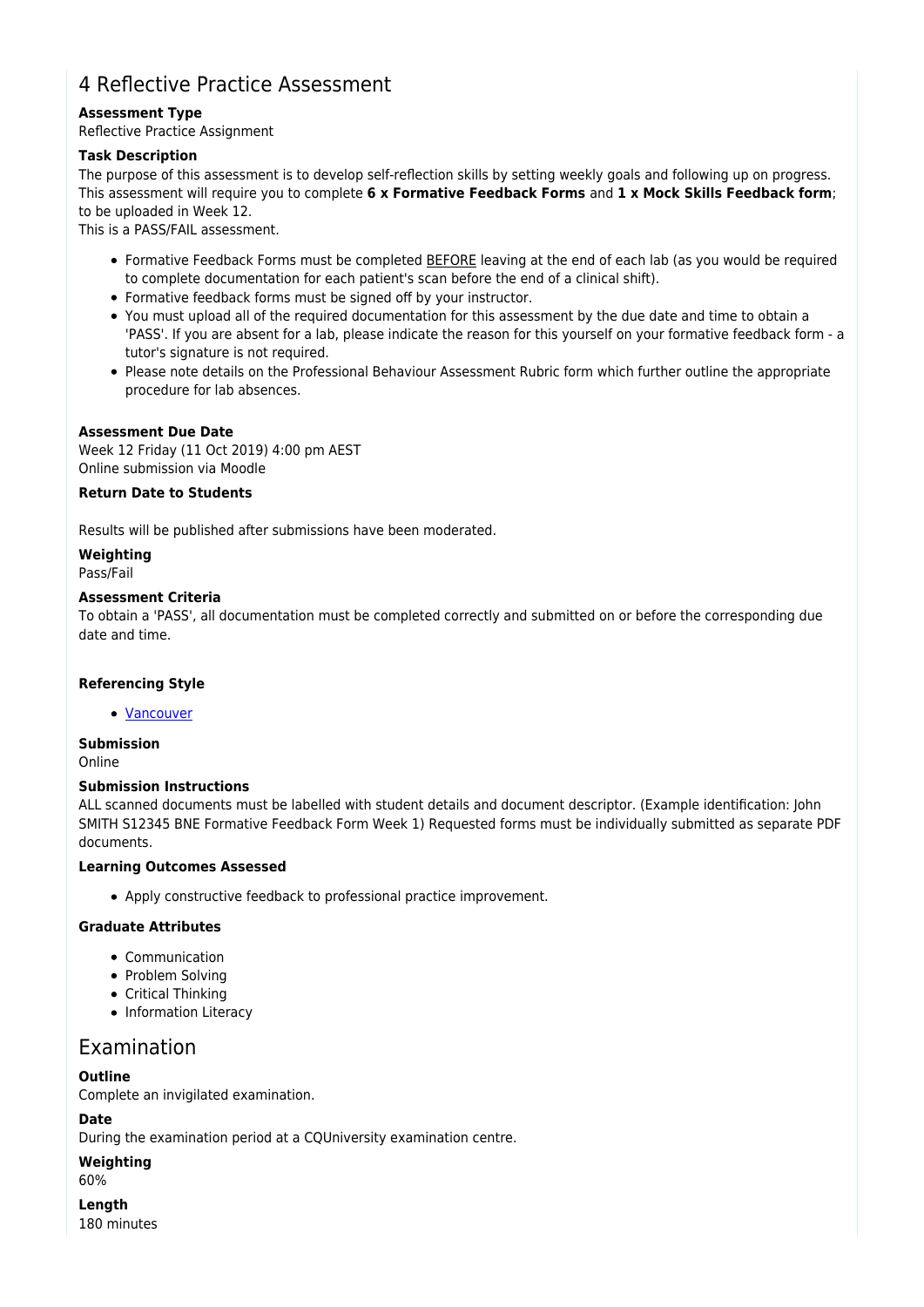# 4 Reflective Practice Assessment

#### **Assessment Type**

Reflective Practice Assignment

#### **Task Description**

The purpose of this assessment is to develop self-reflection skills by setting weekly goals and following up on progress. This assessment will require you to complete **6 x Formative Feedback Forms** and **1 x Mock Skills Feedback form**; to be uploaded in Week 12.

This is a PASS/FAIL assessment.

- Formative Feedback Forms must be completed BEFORE leaving at the end of each lab (as you would be required to complete documentation for each patient's scan before the end of a clinical shift).
- Formative feedback forms must be signed off by your instructor.
- You must upload all of the required documentation for this assessment by the due date and time to obtain a 'PASS'. If you are absent for a lab, please indicate the reason for this yourself on your formative feedback form - a tutor's signature is not required.
- Please note details on the Professional Behaviour Assessment Rubric form which further outline the appropriate procedure for lab absences.

#### **Assessment Due Date**

Week 12 Friday (11 Oct 2019) 4:00 pm AEST Online submission via Moodle

#### **Return Date to Students**

Results will be published after submissions have been moderated.

# **Weighting**

Pass/Fail

#### **Assessment Criteria**

To obtain a 'PASS', all documentation must be completed correctly and submitted on or before the corresponding due date and time.

#### **Referencing Style**

[Vancouver](https://delivery-cqucontenthub.stylelabs.cloud/api/public/content/vancouver-referencing-style.pdf?v=b2634684)

#### **Submission**

Online

#### **Submission Instructions**

ALL scanned documents must be labelled with student details and document descriptor. (Example identification: John SMITH S12345 BNE Formative Feedback Form Week 1) Requested forms must be individually submitted as separate PDF documents.

#### **Learning Outcomes Assessed**

Apply constructive feedback to professional practice improvement.

#### **Graduate Attributes**

- Communication
- Problem Solving
- Critical Thinking
- Information Literacy

# Examination

#### **Outline**

Complete an invigilated examination.

#### **Date**

During the examination period at a CQUniversity examination centre.

**Weighting**

60%

**Length** 180 minutes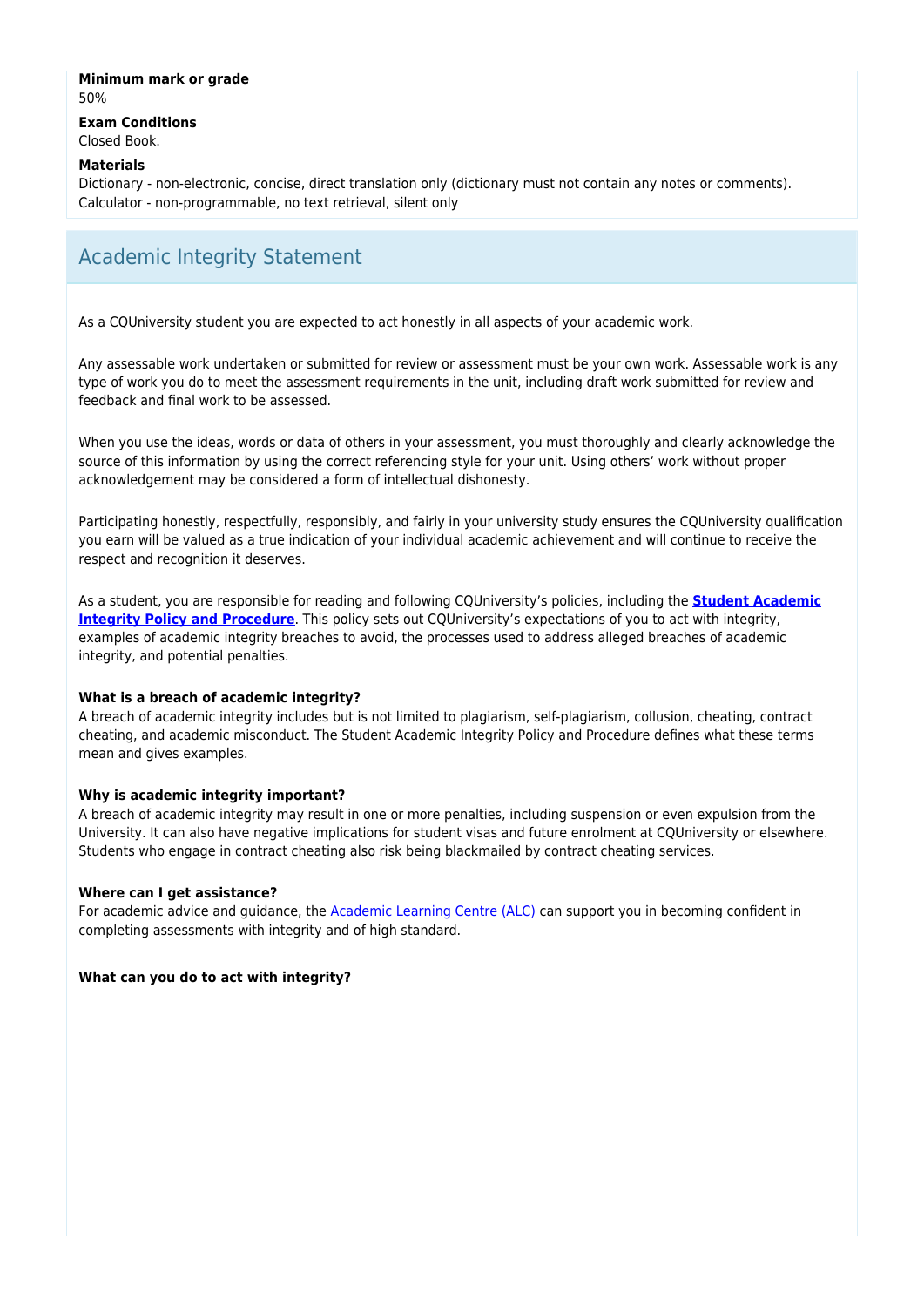#### **Minimum mark or grade** 50%

#### **Exam Conditions**

Closed Book.

#### **Materials**

Dictionary - non-electronic, concise, direct translation only (dictionary must not contain any notes or comments). Calculator - non-programmable, no text retrieval, silent only

# Academic Integrity Statement

As a CQUniversity student you are expected to act honestly in all aspects of your academic work.

Any assessable work undertaken or submitted for review or assessment must be your own work. Assessable work is any type of work you do to meet the assessment requirements in the unit, including draft work submitted for review and feedback and final work to be assessed.

When you use the ideas, words or data of others in your assessment, you must thoroughly and clearly acknowledge the source of this information by using the correct referencing style for your unit. Using others' work without proper acknowledgement may be considered a form of intellectual dishonesty.

Participating honestly, respectfully, responsibly, and fairly in your university study ensures the CQUniversity qualification you earn will be valued as a true indication of your individual academic achievement and will continue to receive the respect and recognition it deserves.

As a student, you are responsible for reading and following CQUniversity's policies, including the **[Student Academic](https://www.cqu.edu.au/policy/sharepoint-document-download?file_uri={BE8380F3-F86D-4C55-AC0D-84A81EAFD6A2}/Student%20Academic%20Integrity%20Policy%20and%20Procedure%20(formerly%20known%20as%20the%20Academic%20Misconduct%20Procedure).pdf) [Integrity Policy and Procedure](https://www.cqu.edu.au/policy/sharepoint-document-download?file_uri={BE8380F3-F86D-4C55-AC0D-84A81EAFD6A2}/Student%20Academic%20Integrity%20Policy%20and%20Procedure%20(formerly%20known%20as%20the%20Academic%20Misconduct%20Procedure).pdf)**. This policy sets out CQUniversity's expectations of you to act with integrity, examples of academic integrity breaches to avoid, the processes used to address alleged breaches of academic integrity, and potential penalties.

#### **What is a breach of academic integrity?**

A breach of academic integrity includes but is not limited to plagiarism, self-plagiarism, collusion, cheating, contract cheating, and academic misconduct. The Student Academic Integrity Policy and Procedure defines what these terms mean and gives examples.

#### **Why is academic integrity important?**

A breach of academic integrity may result in one or more penalties, including suspension or even expulsion from the University. It can also have negative implications for student visas and future enrolment at CQUniversity or elsewhere. Students who engage in contract cheating also risk being blackmailed by contract cheating services.

#### **Where can I get assistance?**

For academic advice and quidance, the [Academic Learning Centre \(ALC\)](https://www.cqu.edu.au/student-life/academic-learning-centre) can support you in becoming confident in completing assessments with integrity and of high standard.

#### **What can you do to act with integrity?**